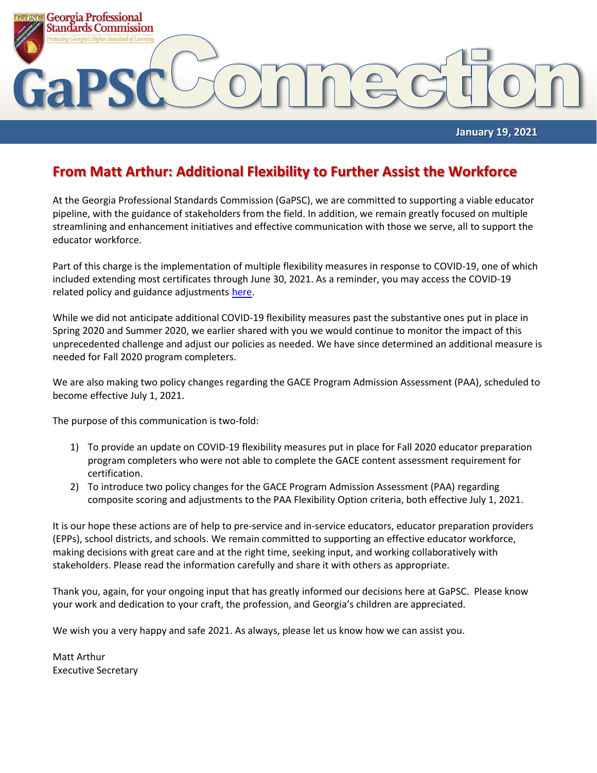

#### **January 19, 2021**

#### **From Matt Arthur: Additional Flexibility to Further Assist the Workforce**

At the Georgia Professional Standards Commission (GaPSC), we are committed to supporting a viable educator pipeline, with the guidance of stakeholders from the field. In addition, we remain greatly focused on multiple streamlining and enhancement initiatives and effective communication with those we serve, all to support the educator workforce.

Part of this charge is the implementation of multiple flexibility measures in response to COVID-19, one of which included extending most certificates through June 30, 2021. As a reminder, you may access the COVID-19 related policy and guidance adjustments [here.](https://www.gapsc.com/COVID-19/Updates.aspx)

While we did not anticipate additional COVID-19 flexibility measures past the substantive ones put in place in Spring 2020 and Summer 2020, we earlier shared with you we would continue to monitor the impact of this unprecedented challenge and adjust our policies as needed. We have since determined an additional measure is needed for Fall 2020 program completers.

We are also making two policy changes regarding the GACE Program Admission Assessment (PAA), scheduled to become effective July 1, 2021.

The purpose of this communication is two-fold:

- 1) To provide an update on COVID-19 flexibility measures put in place for Fall 2020 educator preparation program completers who were not able to complete the GACE content assessment requirement for certification.
- 2) To introduce two policy changes for the GACE Program Admission Assessment (PAA) regarding composite scoring and adjustments to the PAA Flexibility Option criteria, both effective July 1, 2021.

It is our hope these actions are of help to pre-service and in-service educators, educator preparation providers (EPPs), school districts, and schools. We remain committed to supporting an effective educator workforce, making decisions with great care and at the right time, seeking input, and working collaboratively with stakeholders. Please read the information carefully and share it with others as appropriate.

Thank you, again, for your ongoing input that has greatly informed our decisions here at GaPSC. Please know your work and dedication to your craft, the profession, and Georgia's children are appreciated.

We wish you a very happy and safe 2021. As always, please let us know how we can assist you.

Matt Arthur Executive Secretary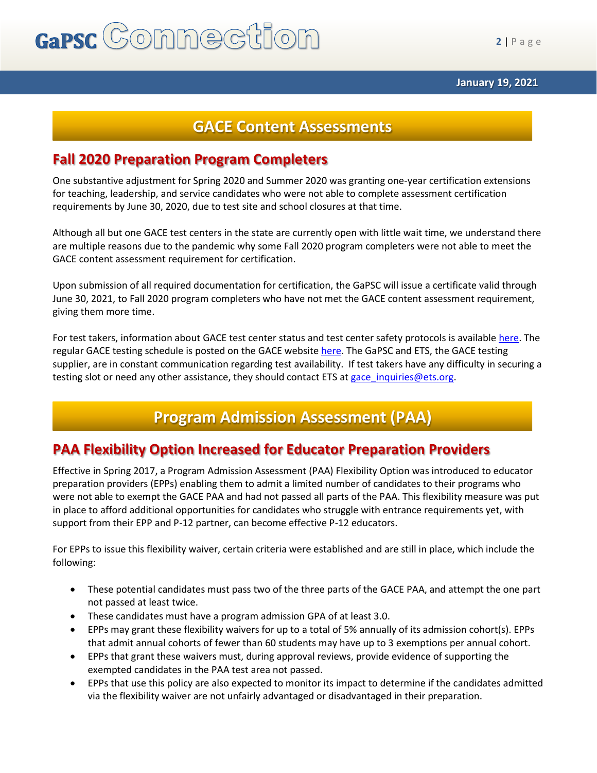# GaPSC Commection

**2** | P a g e

## **GACE Content Assessments**

### **Fall 2020 Preparation Program Completers**

One substantive adjustment for Spring 2020 and Summer 2020 was granting one-year certification extensions for teaching, leadership, and service candidates who were not able to complete assessment certification requirements by June 30, 2020, due to test site and school closures at that time.

Although all but one GACE test centers in the state are currently open with little wait time, we understand there are multiple reasons due to the pandemic why some Fall 2020 program completers were not able to meet the GACE content assessment requirement for certification.

Upon submission of all required documentation for certification, the GaPSC will issue a certificate valid through June 30, 2021, to Fall 2020 program completers who have not met the GACE content assessment requirement, giving them more time.

For test takers, information about GACE test center status and test center safety protocols is availabl[e here.](https://www.ets.org/s/cv/gace/the-americas/) The regular GACE testing schedule is posted on the GACE websit[e here.](https://gace.ets.org/s/pdf/gace_testing_windows_score_reporting_dates.pdf) The GaPSC and ETS, the GACE testing supplier, are in constant communication regarding test availability. If test takers have any difficulty in securing a testing slot or need any other assistance, they should contact ETS at gace inquiries@ets.org.

# **Program Admission Assessment (PAA)**

## **PAA Flexibility Option Increased for Educator Preparation Providers**

Effective in Spring 2017, a Program Admission Assessment (PAA) Flexibility Option was introduced to educator preparation providers (EPPs) enabling them to admit a limited number of candidates to their programs who were not able to exempt the GACE PAA and had not passed all parts of the PAA. This flexibility measure was put in place to afford additional opportunities for candidates who struggle with entrance requirements yet, with support from their EPP and P-12 partner, can become effective P-12 educators.

For EPPs to issue this flexibility waiver, certain criteria were established and are still in place, which include the following:

- These potential candidates must pass two of the three parts of the GACE PAA, and attempt the one part not passed at least twice.
- These candidates must have a program admission GPA of at least 3.0.
- EPPs may grant these flexibility waivers for up to a total of 5% annually of its admission cohort(s). EPPs that admit annual cohorts of fewer than 60 students may have up to 3 exemptions per annual cohort.
- EPPs that grant these waivers must, during approval reviews, provide evidence of supporting the exempted candidates in the PAA test area not passed.
- EPPs that use this policy are also expected to monitor its impact to determine if the candidates admitted via the flexibility waiver are not unfairly advantaged or disadvantaged in their preparation.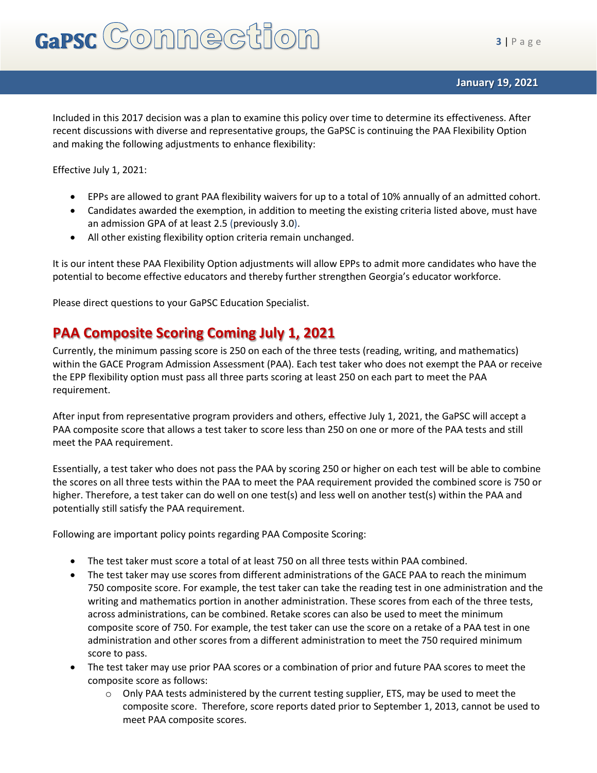Included in this 2017 decision was a plan to examine this policy over time to determine its effectiveness. After recent discussions with diverse and representative groups, the GaPSC is continuing the PAA Flexibility Option and making the following adjustments to enhance flexibility:

Effective July 1, 2021:

- EPPs are allowed to grant PAA flexibility waivers for up to a total of 10% annually of an admitted cohort.
- Candidates awarded the exemption, in addition to meeting the existing criteria listed above, must have an admission GPA of at least 2.5 (previously 3.0).
- All other existing flexibility option criteria remain unchanged.

It is our intent these PAA Flexibility Option adjustments will allow EPPs to admit more candidates who have the potential to become effective educators and thereby further strengthen Georgia's educator workforce.

Please direct questions to your GaPSC Education Specialist.

## **PAA Composite Scoring Coming July 1, 2021**

Currently, the minimum passing score is 250 on each of the three tests (reading, writing, and mathematics) within the GACE Program Admission Assessment (PAA). Each test taker who does not exempt the PAA or receive the EPP flexibility option must pass all three parts scoring at least 250 on each part to meet the PAA requirement.

After input from representative program providers and others, effective July 1, 2021, the GaPSC will accept a PAA composite score that allows a test taker to score less than 250 on one or more of the PAA tests and still meet the PAA requirement.

Essentially, a test taker who does not pass the PAA by scoring 250 or higher on each test will be able to combine the scores on all three tests within the PAA to meet the PAA requirement provided the combined score is 750 or higher. Therefore, a test taker can do well on one test(s) and less well on another test(s) within the PAA and potentially still satisfy the PAA requirement.

Following are important policy points regarding PAA Composite Scoring:

- The test taker must score a total of at least 750 on all three tests within PAA combined.
- The test taker may use scores from different administrations of the GACE PAA to reach the minimum 750 composite score. For example, the test taker can take the reading test in one administration and the writing and mathematics portion in another administration. These scores from each of the three tests, across administrations, can be combined. Retake scores can also be used to meet the minimum composite score of 750. For example, the test taker can use the score on a retake of a PAA test in one administration and other scores from a different administration to meet the 750 required minimum score to pass.
- The test taker may use prior PAA scores or a combination of prior and future PAA scores to meet the composite score as follows:
	- $\circ$  Only PAA tests administered by the current testing supplier, ETS, may be used to meet the composite score. Therefore, score reports dated prior to September 1, 2013, cannot be used to meet PAA composite scores.